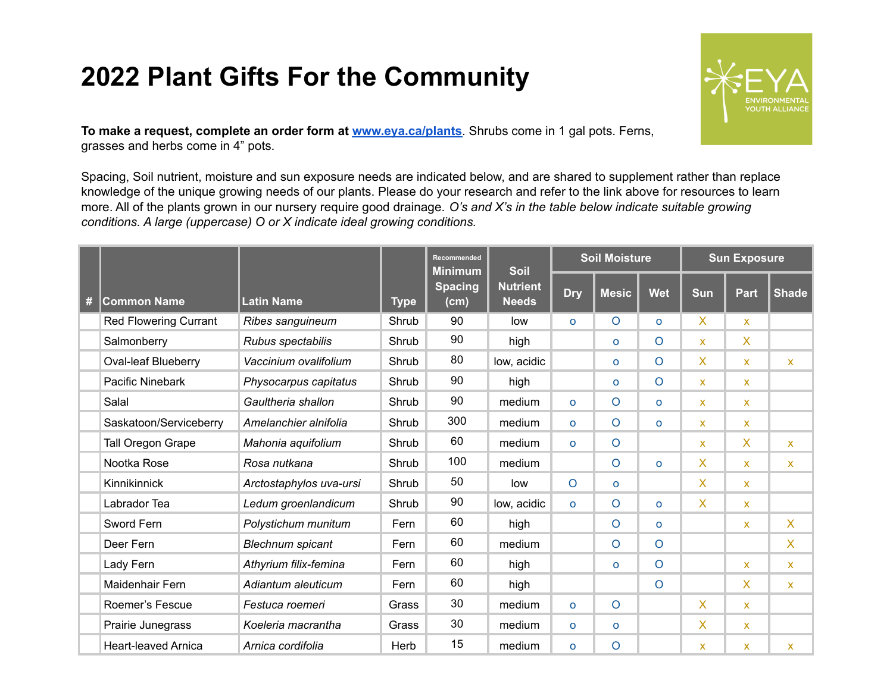## **2022 Plant Gifts For the Community**



**To make a request, complete an order form at [www.eya.ca/plants](http://www.eya.ca/plants)**. Shrubs come in 1 gal pots. Ferns, grasses and herbs come in 4" pots.

Spacing, Soil nutrient, moisture and sun exposure needs are indicated below, and are shared to supplement rather than replace knowledge of the unique growing needs of our plants. Please do your research and refer to the link above for resources to learn more. All of the plants grown in our nursery require good drainage. *O's and X's in the table below indicate suitable growing conditions. A large (uppercase) O or X indicate ideal growing conditions.*

|   | <b>Common Name</b>           | <b>Latin Name</b>       | <b>Type</b> | Recommended<br><b>Minimum</b><br><b>Spacing</b><br>(cm) | <b>Soil</b><br><b>Nutrient</b><br><b>Needs</b> | <b>Soil Moisture</b> |              |                | <b>Sun Exposure</b>       |              |              |
|---|------------------------------|-------------------------|-------------|---------------------------------------------------------|------------------------------------------------|----------------------|--------------|----------------|---------------------------|--------------|--------------|
| # |                              |                         |             |                                                         |                                                | <b>Dry</b>           | <b>Mesic</b> | <b>Wet</b>     | <b>Sun</b>                | <b>Part</b>  | <b>Shade</b> |
|   | <b>Red Flowering Currant</b> | Ribes sanguineum        | Shrub       | 90                                                      | low                                            | $\circ$              | $\circ$      | $\Omega$       | X                         | $\mathsf{x}$ |              |
|   | Salmonberry                  | Rubus spectabilis       | Shrub       | 90                                                      | high                                           |                      | $\Omega$     | $\circ$        | $\mathsf{x}$              | X.           |              |
|   | <b>Oval-leaf Blueberry</b>   | Vaccinium ovalifolium   | Shrub       | 80                                                      | low, acidic                                    |                      | $\circ$      | $\circ$        | X                         | $\mathsf{x}$ | $\mathsf{X}$ |
|   | Pacific Ninebark             | Physocarpus capitatus   | Shrub       | 90                                                      | high                                           |                      | $\circ$      | $\circ$        | $\mathsf{x}$              | $\mathsf{X}$ |              |
|   | Salal                        | Gaultheria shallon      | Shrub       | 90                                                      | medium                                         | $\mathsf{o}$         | $\circ$      | $\Omega$       | $\mathsf{x}$              | $\mathsf{X}$ |              |
|   | Saskatoon/Serviceberry       | Amelanchier alnifolia   | Shrub       | 300                                                     | medium                                         | $\mathsf{o}$         | $\circ$      | $\Omega$       | $\mathsf{x}$              | $\mathsf{x}$ |              |
|   | Tall Oregon Grape            | Mahonia aquifolium      | Shrub       | 60                                                      | medium                                         | $\mathsf{o}$         | $\circ$      |                | $\mathsf{x}$              | X.           | X            |
|   | Nootka Rose                  | Rosa nutkana            | Shrub       | 100                                                     | medium                                         |                      | $\circ$      | $\Omega$       | $\mathsf{X}$              | $\mathsf{x}$ | <b>X</b>     |
|   | Kinnikinnick                 | Arctostaphylos uva-ursi | Shrub       | 50                                                      | low                                            | $\circ$              | $\Omega$     |                | $\mathsf{X}$              | $\mathsf{x}$ |              |
|   | Labrador Tea                 | Ledum groenlandicum     | Shrub       | 90                                                      | low, acidic                                    | $\mathsf{o}$         | $\circ$      | $\Omega$       | X                         | $\mathsf{X}$ |              |
|   | Sword Fern                   | Polystichum munitum     | Fern        | 60                                                      | high                                           |                      | $\circ$      | $\Omega$       |                           | $\mathsf{x}$ | X.           |
|   | Deer Fern                    | <b>Blechnum</b> spicant | Fern        | 60                                                      | medium                                         |                      | $\circ$      | $\overline{O}$ |                           |              | X            |
|   | Lady Fern                    | Athyrium filix-femina   | Fern        | 60                                                      | high                                           |                      | $\circ$      | $\circ$        |                           | $\mathsf{x}$ | X            |
|   | Maidenhair Fern              | Adiantum aleuticum      | Fern        | 60                                                      | high                                           |                      |              | $\circ$        |                           | $\mathsf{X}$ | <b>X</b>     |
|   | Roemer's Fescue              | Festuca roemeri         | Grass       | 30                                                      | medium                                         | $\circ$              | $\circ$      |                | $\overline{X}$            | $\mathsf{X}$ |              |
|   | Prairie Junegrass            | Koeleria macrantha      | Grass       | 30                                                      | medium                                         | $\mathbf{o}$         | $\mathsf{o}$ |                | X.                        | $\mathsf{x}$ |              |
|   | <b>Heart-leaved Arnica</b>   | Arnica cordifolia       | Herb        | 15                                                      | medium                                         | $\mathsf{o}$         | $\circ$      |                | $\boldsymbol{\mathsf{x}}$ | X.           | X            |